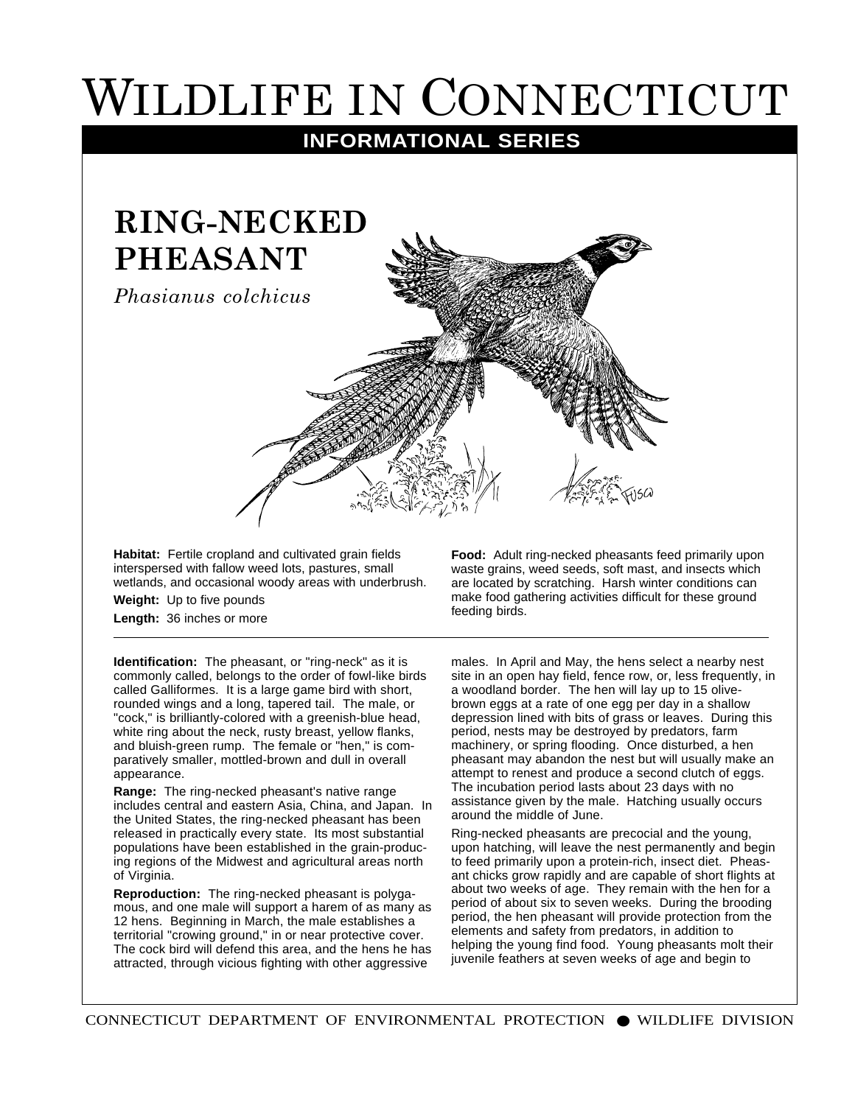## WILDLIFE IN CONNECTICUT

## **INFORMATIONAL SERIES**



**Habitat:** Fertile cropland and cultivated grain fields interspersed with fallow weed lots, pastures, small

wetlands, and occasional woody areas with underbrush.

**Weight:** Up to five pounds **Length:** 36 inches or more

**Identification:** The pheasant, or "ring-neck" as it is commonly called, belongs to the order of fowl-like birds called Galliformes. It is a large game bird with short, rounded wings and a long, tapered tail. The male, or "cock," is brilliantly-colored with a greenish-blue head, white ring about the neck, rusty breast, yellow flanks, and bluish-green rump. The female or "hen," is comparatively smaller, mottled-brown and dull in overall appearance.

**Range:** The ring-necked pheasant's native range includes central and eastern Asia, China, and Japan. In the United States, the ring-necked pheasant has been released in practically every state. Its most substantial populations have been established in the grain-producing regions of the Midwest and agricultural areas north of Virginia.

**Reproduction:** The ring-necked pheasant is polygamous, and one male will support a harem of as many as 12 hens. Beginning in March, the male establishes a territorial "crowing ground," in or near protective cover. The cock bird will defend this area, and the hens he has attracted, through vicious fighting with other aggressive

**Food:** Adult ring-necked pheasants feed primarily upon waste grains, weed seeds, soft mast, and insects which are located by scratching. Harsh winter conditions can make food gathering activities difficult for these ground feeding birds.

males. In April and May, the hens select a nearby nest site in an open hay field, fence row, or, less frequently, in a woodland border. The hen will lay up to 15 olivebrown eggs at a rate of one egg per day in a shallow depression lined with bits of grass or leaves. During this period, nests may be destroyed by predators, farm machinery, or spring flooding. Once disturbed, a hen pheasant may abandon the nest but will usually make an attempt to renest and produce a second clutch of eggs. The incubation period lasts about 23 days with no assistance given by the male. Hatching usually occurs around the middle of June.

Ring-necked pheasants are precocial and the young, upon hatching, will leave the nest permanently and begin to feed primarily upon a protein-rich, insect diet. Pheasant chicks grow rapidly and are capable of short flights at about two weeks of age. They remain with the hen for a period of about six to seven weeks. During the brooding period, the hen pheasant will provide protection from the elements and safety from predators, in addition to helping the young find food. Young pheasants molt their juvenile feathers at seven weeks of age and begin to